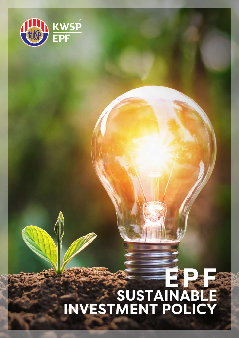

# EPF<sup></sup> **SUSTAINABLE INVESTMENT POLICY**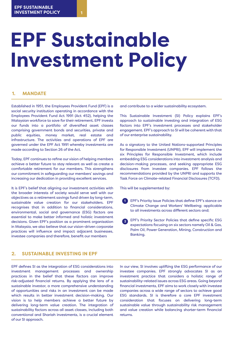# **EPF Sustainable Investment Policy**

### **1. MANDATE**

Established in 1951, the Employees Provident Fund (EPF) is a social security institution operating in accordance with the Employees Provident Fund Act 1991 (Act 452), helping the Malaysian workforce to save for their retirement. EPF invests our funds into a portfolio of diversified asset classes comprising government bonds and securities, private and public equities, money market, real estate and infrastructure. The activities and operations of EPF are governed under the EPF Act 1991 whereby investments are made according to Section 26 of the Act.

Today, EPF continues to refine our vision of helping members achieve a better future to stay relevant as well as create a comfortable retirement for our members. This strengthens our commitment in safeguarding our members' savings and increasing our dedication in providing excellent services.

It is EPF's belief that aligning our investment activities with the broader interests of society would serve well with our objectives as a retirement savings fund driven by long-term, sustainable value creation for our stakeholders. EPF recognises that in addition to financial considerations, environmental, social and governance (ESG) factors are essential to make better informed and holistic investment decisions. Given EPF's position as a prominent organisation in Malaysia, we also believe that our vision-driven corporate practices will influence and impact adjacent businesses, investee companies and therefore, benefit our members

## **2. SUSTAINABLE INVESTING IN EPF**

EPF defines SI as the integration of ESG considerations into investment management processes and ownership practices in the belief that these factors can improve risk-adjusted financial returns. By applying the lens of a sustainable investor, a more comprehensive understanding of opportunities and risks in an investment can be made which results in better investment decision-making. Our vision is to help members achieve a better future by delivering long-term value creation. The integration of sustainability factors across all asset classes, including both conventional and Shariah investments, is a crucial element of our SI approach.

and contribute to a wider sustainability ecosystem.

This Sustainable Investment (SI) Policy explains EPF's approach to sustainable investing and integration of ESG factors into EPF's investment processes and stakeholder engagement. EPF's approach to SI will be coherent with that of our enterprise sustainability.

As a signatory to the United Nations-supported Principles for Responsible Investment (UNPRI), EPF will implement the six Principles for Responsible Investment, which include embedding ESG considerations into investment analysis and decision-making processes, and seeking appropriate ESG disclosures from investee companies. EPF follows the recommendations provided by the UNPRI and supports the Task Force on Climate-related Financial Disclosures (TCFD).

This will be supplemented by:

- **1** EPF's Priority Issue Policies that define EPF's stance on Climate Change and Workers' Wellbeing; applicable to all investments across different sectors and:
- **2** EPF's Priority Sector Policies that define specific ESG expectations focusing on six sectors namely Oil & Gas, Palm Oil, Power Generation, Mining, Construction and Banking.

In our view, SI involves uplifting the ESG performance of our investee companies. EPF strongly advocates SI as an investment practice that considers a holistic range of sustainability-related issues across ESG areas. Going beyond financial investments, EPF aims to work closely with investee companies across a wide range of sectors to achieve good ESG standards. SI is therefore a core EPF investment consideration that focuses on delivering long-term sustainable value through sustainability risk management and value creation while balancing shorter-term financial returns.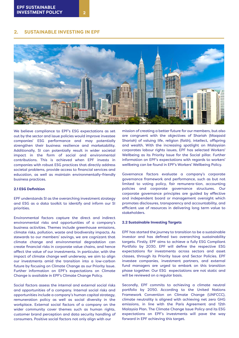#### **2. SUSTAINABLE INVESTING IN EPF**



We believe compliance to EPF's ESG expectations as set out by the sector and issue policies would improve investee companies' ESG performance and may potentially strengthen their business resilience and marketability. Additionally, SI can potentially result in wider societal impact in the form of social and environmental contributions. This is achieved when EPF invests in companies with robust ESG practices that directly address societal problems, provide access to financial services and education, as well as maintain environmentally-friendly business practices.

#### **2.1 ESG Definition**

EPF understands SI as the overarching investment strategy and ESG as a data toolkit to identify and inform our SI priorities.

Environmental factors capture the direct and indirect environmental risks and opportunities of a company's business activities. Themes include greenhouse emissions, climate risks, pollution, waste and biodiversity impacts. As stewards to our members' savings, we are cognizant that climate change and environmental degradation can create financial risks in corporate value chains, and hence affect the value of our investments. In particular, with the impact of climate change well underway, we aim to align our investments amid the transition into a low-carbon future by focusing on Climate Change as our Priority Issue. Further information on EPF's expectations on Climate Change is available in EPF's Climate Change Policy.

Social factors assess the internal and external social risks and opportunities of a company. Internal social risks and opportunities include a company's human capital strategy, remuneration policy as well as social diversity in the workplace. External social factors of a company on the wider community cover themes such as human rights, customer brand perception and data security handling of consumers. Positive social factors not only align with our

mission of creating a better future for our members, but also are congruent with the objectives of Shariah (Maqasid Shariah) of valuing life, religion (faith), intellect, offspring and wealth. With the increasing spotlight on Malaysian corporates labour rights issues, EPF has selected Workers' Wellbeing as its Priority Issue for the Social pillar. Further information on EPF's expectations with regards to workers' wellbeing can be found in EPF's Workers' Wellbeing Policy.

Governance factors evaluate a company's corporate governance framework and performance, such as but not limited to voting policy, fair remunera-tion, accounting policies and corporate governance structures. Our corporate governance principles are guided by effective and independent board or management oversight which promotes disclosures, transparency and accountability, and efficient use of resources in delivering long term value to stakeholders.

#### **2.2 Sustainable Investing Targets**

EPF has started the journey to transition to be a sustainable investor and has defined two overarching sustainability targets. Firstly, EPF aims to achieve a fully ESG Compliant Portfolio by 2030. EPF will define the respective ESG expectations for investments across sectors and asset classes, through its Priority Issue and Sector Policies. EPF investee companies, investment partners, and external fund managers are urged to embark on this transition phase together. Our ESG expectations are not static and will be reviewed on a regular basis.

Secondly, EPF commits to achieving a climate neutral portfolio by 2050. According to the United Nations Framework Convention on Climate Change (UNFCCC), climate neutrality is aligned with achieving net zero GHG emissions, in line with the Paris Agreement and 12th Malaysia Plan. The Climate Change Issue Policy and its ESG expectations on EPF's investments will pave the way forward in EPF achieving this target.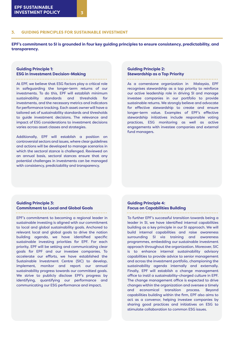**EPF's commitment to SI is grounded in four key guiding principles to ensure consistency, predictability, and transparency.**

#### **Guiding Principle 1: ESG in Investment Decision-Making**

At EPF, we believe that ESG factors play a critical role in safeguarding the longer-term returns of our investments. To do this, EPF will establish minimum sustainability standards and thresholds for investments, and the necessary metrics and indicators for performance tracking. Each asset owner will have a tailored set of sustainability standards and thresholds to guide investment decisions. The relevance and impact of ESG considerations to investment decisions varies across asset classes and strategies.

Additionally, EPF will establish a position on controversial sectors and issues, where clear guidelines and actions will be developed to manage scenarios in which the sectoral stance is challenged. Reviewed on an annual basis, sectoral stances ensure that any potential challenges in investments can be managed with consistency, predictability and transparency.

#### **Guiding Principle 2: Stewardship as a Top Priority**

As a cornerstone organization in Malaysia, EPF recognises stewardship as a top priority to reinforce our active leadership role in driving SI and manage investee companies in our portfolio to provide sustainable returns. We strongly believe and advocate for effective stewardship to create and ensure longer-term value. Examples of EPF's effective stewardship initiatives include responsible voting practices, ESG monitoring as well as active engagements with investee companies and external fund managers.

#### **Guiding Principle 3: Commitment to Local and Global Goals**

EPF's commitment to becoming a regional leader in sustainable investing is aligned with our commitment to local and global sustainability goals. Anchored to relevant local and global goals to drive the nation building agenda, we have identified specific sustainable investing priorities for EPF. For each priority, EPF will be setting and communicating clear goals for EPF and our investee companies. To accelerate our efforts, we have established the Sustainable Investment Centre (SIC) to develop, implement, monitor and report our annual sustainability progress towards our committed goals. We strive to publicly disclose EPF's progress by identifying, quantifying our performance and communicating our ESG performance and impact.

#### **Guiding Principle 4: Focus on Capabilities Building**

To further EPF's successful transition towards being a leader in SI, we have identified internal capabilities building as a key principle in our SI approach. We will build internal capabilities and raise awareness surrounding SI via training and awareness programmes, embedding our sustainable investment approach throughout the organization. Moreover, SIC is to enhance internal sustainability advisory capabilities to provide advice to senior management and across the investment portfolio, championing the sustainability agenda internally and externally. Finally, EPF will establish a change management office to instil a sustainability-charged culture in EPF. The change management office is expected to drive changes within the organization and oversee a timely and economical transition process. Beyond capabilities building within the firm, EPF also aims to act as a convenor, helping investee companies by sharing good practices and initiatives on ESG to stimulate collaboration to common ESG issues.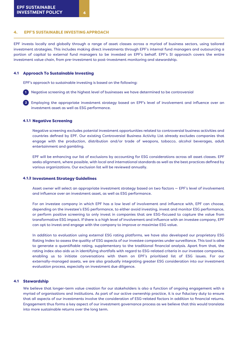#### 4. EPF'S SUSTAINABLE INVESTING APPROACH

EPF invests locally and globally through a range of asset classes across a myriad of business sectors, using tailored investment strategies. This includes making direct investments through EPF's internal fund managers and outsourcing a portion of capital to external fund managers to be invested on EPF's behalf. EPF's SI approach covers the entire investment value chain, from pre-investment to post-investment monitoring and stewardship.

#### 4.1 Approach To Sustainable Investing

EPF's approach to sustainable investing is based on the following:

**1** Negative screening at the highest level of businesses we have determined to be controversial

**2** Employing the appropriate investment strategy based on EPF's level of involvement and influence over an investment asset as well as ESG performance.

#### 4.1.1 Negative Screening

Negative screening excludes potenial investment opportunities related to controversial business activities and countries defined by EPF. Our existing Controversial Business Activity List already excludes companies that engage with the production, distribution and/or trade of weapons, tobacco, alcohol beverages, adult entertainment and gambling.

EPF will be enhancing our list of exclusions by accounting for ESG considerations across all asset classes. EPF seeks alignment, where possible, with local and international standards as well as the best practices defined by various organizations. Our exclusion list will be reviewed annually.

#### 4.1.2 Investment Strategy Guidelines

Asset owner will select an appropriate investment strategy based on two factors — EPF's level of involvement and influence over an investment asset, as well as ESG performance.

For an investee company in which EPF has a low level of involvement and influence with, EPF can choose, depending on the investee's ESG performance, to either avoid investing, invest and monitor ESG performance, or perform positive screening to only invest in companies that are ESG-focused to capture the value from transformative ESG impact. If there is a high level of involvement and influence with an investee company, EPF can opt to invest and engage with the company to improve or maximise ESG value.

In addition to evaluation using external ESG rating platforms, we have also developed our proprietary ESG Rating Index to assess the quality of ESG aspects of our investee companies under surveillance. This tool is able to generate a quantifiable rating, supplementary to the traditional financial analysis. Apart from that, the rating index also aids us in identifying shortfalls with regard to ESG-related criteria in our investee companies, enabling us to initiate conversations with them on EPF's prioritised list of ESG issues. For our externally-managed assets, we are also gradually integrating greater ESG consideration into our investment evaluation process, especially on investment due diligence.

#### 4.1 Stewardship

We believe that longer-term value creation for our stakeholders is also a function of ongoing engagement with a myriad of organisations and institutions. As part of our active ownership practice, it is our fiduciary duty to ensure that all aspects of our investments involve the consideration of ESG-related factors in addition to financial returns. Engagement thus forms a key aspect of our investment governance process as we believe that this would translate into more sustainable returns over the long term.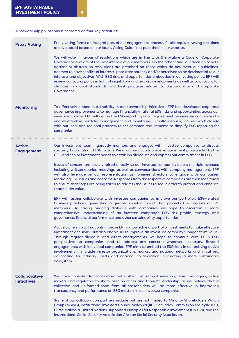Our stewardship philosophy is centered on four key activities:

| <b>Proxy Voting</b>                        | Proxy voting forms an integral part of our engagement process. Public equities voting decisions<br>are evaluated based on our latest Voting Guidelines published in our website.                                                                                                                                                                                                                                                                                                                                                                                                                                                                                                                                                                                                                                                                                                                                                                                                                                                                                                                                                                                                                                                                                                                                                                                                                                                                                                                                                                                                                                                                                                                                                                                                                                                                                                                                                                                 |
|--------------------------------------------|------------------------------------------------------------------------------------------------------------------------------------------------------------------------------------------------------------------------------------------------------------------------------------------------------------------------------------------------------------------------------------------------------------------------------------------------------------------------------------------------------------------------------------------------------------------------------------------------------------------------------------------------------------------------------------------------------------------------------------------------------------------------------------------------------------------------------------------------------------------------------------------------------------------------------------------------------------------------------------------------------------------------------------------------------------------------------------------------------------------------------------------------------------------------------------------------------------------------------------------------------------------------------------------------------------------------------------------------------------------------------------------------------------------------------------------------------------------------------------------------------------------------------------------------------------------------------------------------------------------------------------------------------------------------------------------------------------------------------------------------------------------------------------------------------------------------------------------------------------------------------------------------------------------------------------------------------------------|
|                                            | We will vote in favour of resolutions which are in line with the Malaysia Code of Corporate<br>Governance and are of the best interest of our members. On the other hand, our decision to vote<br>against or abstain on resolutions are premised on those which do not meet our guidelines,<br>deemed to have conflict of interests, poor transparency and/or perceived to be detrimental to our<br>interests and objectives. With ESG risks and opportunities embedded in our voting policy, EPF will<br>review our voting policy in light of regulatory and market developments as well as to account for<br>changes in global standards and best practices related to Sustainability and Corporate<br>Governance.                                                                                                                                                                                                                                                                                                                                                                                                                                                                                                                                                                                                                                                                                                                                                                                                                                                                                                                                                                                                                                                                                                                                                                                                                                             |
| <b>Monitoring</b>                          | To effectively embed sustainability in our stewardship initiatives, EPF has developed corporate<br>governance improvements to manage financially-material ESG risks and opportunities across our<br>investment cycle. EPF will define the ESG reporting data requirement by investee companies to<br>enable effective portfolio management and monitoring. Simulta-neously, EPF will work closely<br>with our local and regional partners to set common requirements to simplify ESG reporting for<br>companies.                                                                                                                                                                                                                                                                                                                                                                                                                                                                                                                                                                                                                                                                                                                                                                                                                                                                                                                                                                                                                                                                                                                                                                                                                                                                                                                                                                                                                                                 |
| <b>Active</b><br><b>Engagement</b>         | Our investment team rigorously monitors and engages with investee companies to discuss<br>strategy, financials and ESG factors. We also conduct a top level engagement program led by the<br>CEO and senior investment heads to establish dialogues and express our commitment in ESG.<br>Issues of concern are usually raised directly to our investee companies across multiple avenues<br>including written queries, meetings, as well as conversa-tions with company management. EPF<br>will also leverage on our representation as nominee directors to engage with companies<br>regarding ESG issues and concerns. Responses from the respective companies are then monitored<br>to ensure that steps are being taken to address the issues raised in order to protect and enhance<br>shareholder value.<br>EPF will further collaborate with investee companies to improve our portfolio's ESG-related<br>business practices, generating a greater societal impact that protects the interests of EPF<br>members. By having ongoing dialogue with companies, we hope to ascertain a more<br>comprehensive understanding of an investee company's ESG risk profile, strategy and<br>governance, financial performance and other sustainability opportunities.<br>Active ownership will not only improve EPF's knowledge of portfolio investments to make effective<br>investment decisions, but also enable us to improve an invest-ee company's longer-term value.<br>Through regular dialogue and direct engagements, we hope to communi-cate EPF's ESG<br>perspectives to companies, and to address any concerns wherever necessary. Beyond<br>engagements with individual companies, EPF aims to embed the ESG-lens in our existing active<br>involvement in multiple investor organizations, market and national networks and initiatives,<br>advocating for industry uplifts and national collaboration in creating a more sustainable<br>ecosystem. |
| <b>Collaborative</b><br><b>Initiatives</b> | We have consistently collaborated with other institutional investors, asset managers, policy<br>makers and regulators to share best practices and thought leadership, as we believe that a<br>collective and uniformed tone from all stakeholders will be more effective in improv-ing<br>transparency and performance on ESG matters in our investee companies.<br>Some of our collaboration partners include but are not limited to Minority Shareholders Watch<br>Group (MSWG), Institutional Investors Council Malaysia (IIC), Securities Commission Malaysia (SC),<br>Bursa Malaysia, United Nations-supported Principles for Responsible Investment (UN PRI), and the<br>International Social Security Association / Asean Social Security Association.                                                                                                                                                                                                                                                                                                                                                                                                                                                                                                                                                                                                                                                                                                                                                                                                                                                                                                                                                                                                                                                                                                                                                                                                    |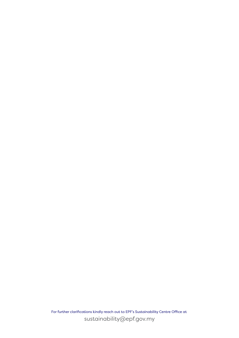For further clarifications kindly reach out to EPF's Sustainability Centre Office at sustainability@epf.gov.my